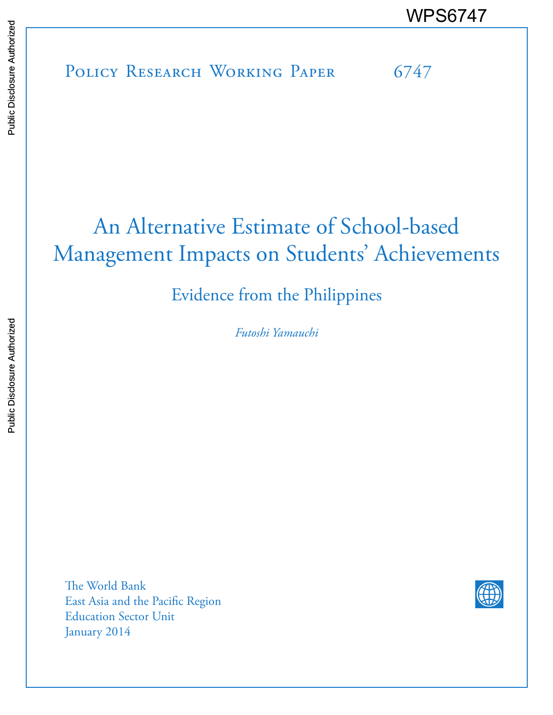POLICY RESEARCH WORKING PAPER 6747 WPS6747<br>
Media<br>
Media<br>
Policy Research Working Paper 6747<br>
Policy Research Working Paper 6747

# An Alternative Estimate of School-based Management Impacts on Students' Achievements

Evidence from the Philippines

*Futoshi Yamauchi*

The World Bank East Asia and the Pacific Region Education Sector Unit January 2014

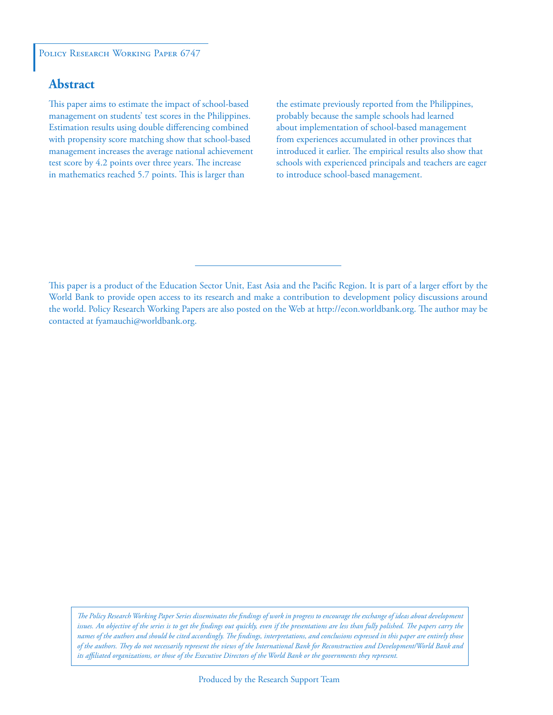## POLICY RESEARCH WORKING PAPER 6747

# **Abstract**

This paper aims to estimate the impact of school-based management on students' test scores in the Philippines. Estimation results using double differencing combined with propensity score matching show that school-based management increases the average national achievement test score by 4.2 points over three years. The increase in mathematics reached 5.7 points. This is larger than

the estimate previously reported from the Philippines, probably because the sample schools had learned about implementation of school-based management from experiences accumulated in other provinces that introduced it earlier. The empirical results also show that schools with experienced principals and teachers are eager to introduce school-based management.

This paper is a product of the Education Sector Unit, East Asia and the Pacific Region. It is part of a larger effort by the World Bank to provide open access to its research and make a contribution to development policy discussions around the world. Policy Research Working Papers are also posted on the Web at http://econ.worldbank.org. The author may be contacted at fyamauchi@worldbank.org.

*The Policy Research Working Paper Series disseminates the findings of work in progress to encourage the exchange of ideas about development*  issues. An objective of the series is to get the findings out quickly, even if the presentations are less than fully polished. The papers carry the *names of the authors and should be cited accordingly. The findings, interpretations, and conclusions expressed in this paper are entirely those of the authors. They do not necessarily represent the views of the International Bank for Reconstruction and Development/World Bank and its affiliated organizations, or those of the Executive Directors of the World Bank or the governments they represent.*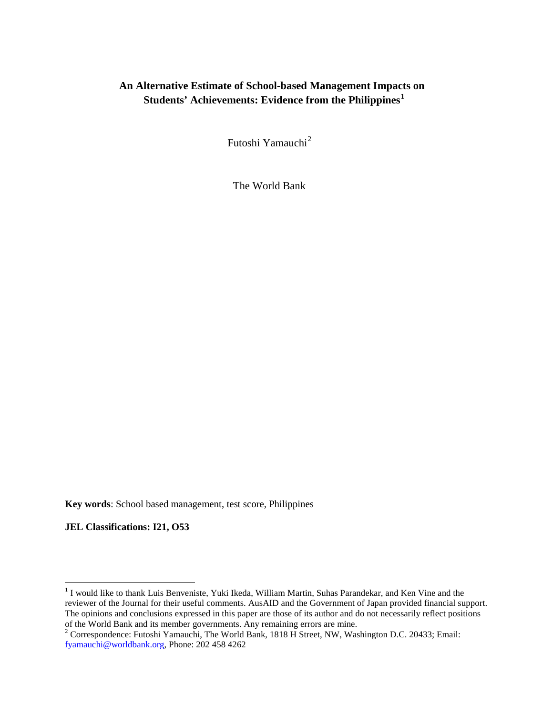## **An Alternative Estimate of School-based Management Impacts on Students' Achievements: Evidence from the Philippines[1](#page-2-0)**

Futoshi Yamauchi<sup>[2](#page-2-1)</sup>

The World Bank

**Key words**: School based management, test score, Philippines

**JEL Classifications: I21, O53**

<span id="page-2-0"></span><sup>1</sup> I would like to thank Luis Benveniste, Yuki Ikeda, William Martin, Suhas Parandekar, and Ken Vine and the reviewer of the Journal for their useful comments. AusAID and the Government of Japan provided financial support. The opinions and conclusions expressed in this paper are those of its author and do not necessarily reflect positions of the World Bank and its member governments. Any remaining errors are mine.<br><sup>2</sup> Correspondence: Futoshi Yamauchi, The World Bank, 1818 H Street, NW, Washington D.C. 20433; Email:

<span id="page-2-1"></span>[fyamauchi@worldbank.org,](mailto:fyamauchi@worldbank.org) Phone: 202 458 4262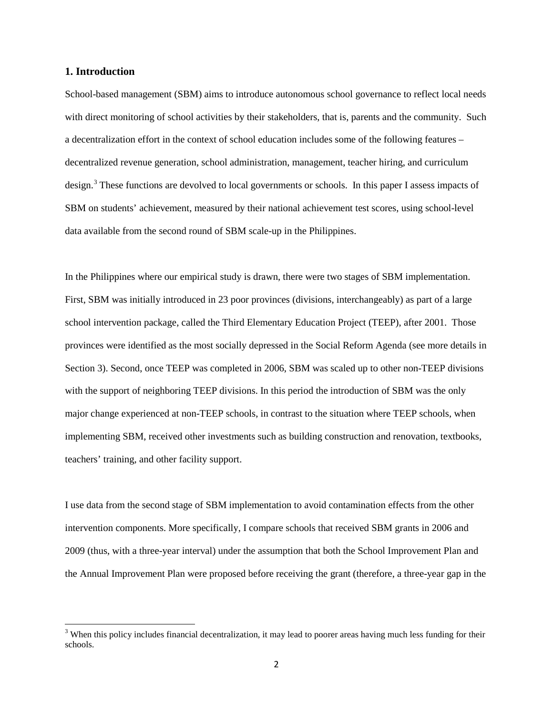### **1. Introduction**

School-based management (SBM) aims to introduce autonomous school governance to reflect local needs with direct monitoring of school activities by their stakeholders, that is, parents and the community. Such a decentralization effort in the context of school education includes some of the following features – decentralized revenue generation, school administration, management, teacher hiring, and curriculum design.[3](#page-3-0) These functions are devolved to local governments or schools. In this paper I assess impacts of SBM on students' achievement, measured by their national achievement test scores, using school-level data available from the second round of SBM scale-up in the Philippines.

In the Philippines where our empirical study is drawn, there were two stages of SBM implementation. First, SBM was initially introduced in 23 poor provinces (divisions, interchangeably) as part of a large school intervention package, called the Third Elementary Education Project (TEEP), after 2001. Those provinces were identified as the most socially depressed in the Social Reform Agenda (see more details in Section 3). Second, once TEEP was completed in 2006, SBM was scaled up to other non-TEEP divisions with the support of neighboring TEEP divisions. In this period the introduction of SBM was the only major change experienced at non-TEEP schools, in contrast to the situation where TEEP schools, when implementing SBM, received other investments such as building construction and renovation, textbooks, teachers' training, and other facility support.

I use data from the second stage of SBM implementation to avoid contamination effects from the other intervention components. More specifically, I compare schools that received SBM grants in 2006 and 2009 (thus, with a three-year interval) under the assumption that both the School Improvement Plan and the Annual Improvement Plan were proposed before receiving the grant (therefore, a three-year gap in the

<span id="page-3-0"></span><sup>&</sup>lt;sup>3</sup> When this policy includes financial decentralization, it may lead to poorer areas having much less funding for their schools.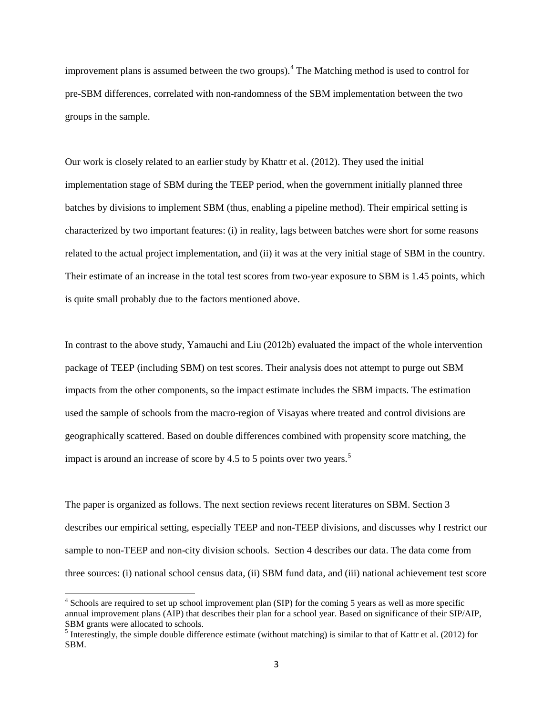improvement plans is assumed between the two groups).[4](#page-4-0) The Matching method is used to control for pre-SBM differences, correlated with non-randomness of the SBM implementation between the two groups in the sample.

Our work is closely related to an earlier study by Khattr et al. (2012). They used the initial implementation stage of SBM during the TEEP period, when the government initially planned three batches by divisions to implement SBM (thus, enabling a pipeline method). Their empirical setting is characterized by two important features: (i) in reality, lags between batches were short for some reasons related to the actual project implementation, and (ii) it was at the very initial stage of SBM in the country. Their estimate of an increase in the total test scores from two-year exposure to SBM is 1.45 points, which is quite small probably due to the factors mentioned above.

In contrast to the above study, Yamauchi and Liu (2012b) evaluated the impact of the whole intervention package of TEEP (including SBM) on test scores. Their analysis does not attempt to purge out SBM impacts from the other components, so the impact estimate includes the SBM impacts. The estimation used the sample of schools from the macro-region of Visayas where treated and control divisions are geographically scattered. Based on double differences combined with propensity score matching, the impact is around an increase of score by 4.[5](#page-4-1) to 5 points over two years.<sup>5</sup>

The paper is organized as follows. The next section reviews recent literatures on SBM. Section 3 describes our empirical setting, especially TEEP and non-TEEP divisions, and discusses why I restrict our sample to non-TEEP and non-city division schools. Section 4 describes our data. The data come from three sources: (i) national school census data, (ii) SBM fund data, and (iii) national achievement test score

<span id="page-4-0"></span><sup>&</sup>lt;sup>4</sup> Schools are required to set up school improvement plan (SIP) for the coming 5 years as well as more specific annual improvement plans (AIP) that describes their plan for a school year. Based on significance of their SIP/AIP, SBM grants were allocated to schools.

<span id="page-4-1"></span> $\frac{3}{5}$  Interestingly, the simple double difference estimate (without matching) is similar to that of Kattr et al. (2012) for SBM.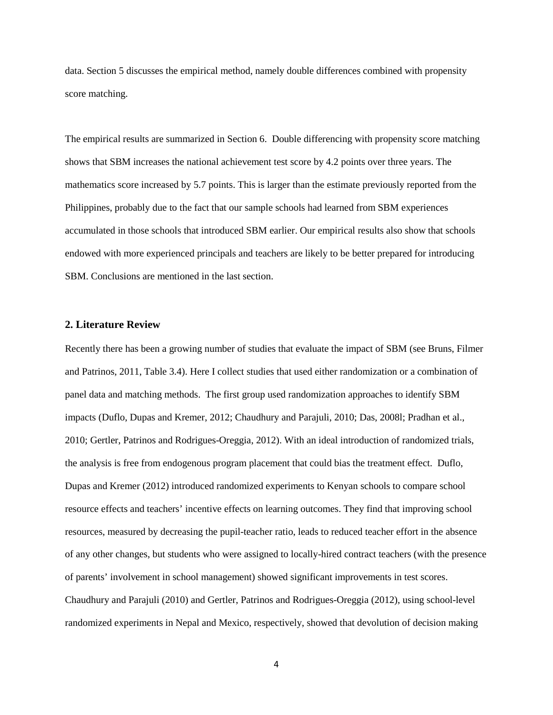data. Section 5 discusses the empirical method, namely double differences combined with propensity score matching.

The empirical results are summarized in Section 6. Double differencing with propensity score matching shows that SBM increases the national achievement test score by 4.2 points over three years. The mathematics score increased by 5.7 points. This is larger than the estimate previously reported from the Philippines, probably due to the fact that our sample schools had learned from SBM experiences accumulated in those schools that introduced SBM earlier. Our empirical results also show that schools endowed with more experienced principals and teachers are likely to be better prepared for introducing SBM. Conclusions are mentioned in the last section.

## **2. Literature Review**

Recently there has been a growing number of studies that evaluate the impact of SBM (see Bruns, Filmer and Patrinos, 2011, Table 3.4). Here I collect studies that used either randomization or a combination of panel data and matching methods. The first group used randomization approaches to identify SBM impacts (Duflo, Dupas and Kremer, 2012; Chaudhury and Parajuli, 2010; Das, 2008l; Pradhan et al., 2010; Gertler, Patrinos and Rodrigues-Oreggia, 2012). With an ideal introduction of randomized trials, the analysis is free from endogenous program placement that could bias the treatment effect. Duflo, Dupas and Kremer (2012) introduced randomized experiments to Kenyan schools to compare school resource effects and teachers' incentive effects on learning outcomes. They find that improving school resources, measured by decreasing the pupil-teacher ratio, leads to reduced teacher effort in the absence of any other changes, but students who were assigned to locally-hired contract teachers (with the presence of parents' involvement in school management) showed significant improvements in test scores. Chaudhury and Parajuli (2010) and Gertler, Patrinos and Rodrigues-Oreggia (2012), using school-level randomized experiments in Nepal and Mexico, respectively, showed that devolution of decision making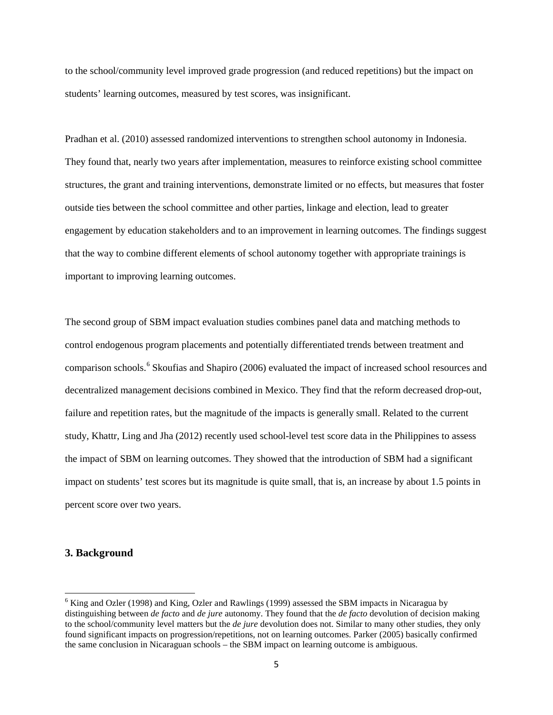to the school/community level improved grade progression (and reduced repetitions) but the impact on students' learning outcomes, measured by test scores, was insignificant.

Pradhan et al. (2010) assessed randomized interventions to strengthen school autonomy in Indonesia. They found that, nearly two years after implementation, measures to reinforce existing school committee structures, the grant and training interventions, demonstrate limited or no effects, but measures that foster outside ties between the school committee and other parties, linkage and election, lead to greater engagement by education stakeholders and to an improvement in learning outcomes. The findings suggest that the way to combine different elements of school autonomy together with appropriate trainings is important to improving learning outcomes.

The second group of SBM impact evaluation studies combines panel data and matching methods to control endogenous program placements and potentially differentiated trends between treatment and comparison schools.<sup>[6](#page-6-0)</sup> Skoufias and Shapiro (2006) evaluated the impact of increased school resources and decentralized management decisions combined in Mexico. They find that the reform decreased drop-out, failure and repetition rates, but the magnitude of the impacts is generally small. Related to the current study, Khattr, Ling and Jha (2012) recently used school-level test score data in the Philippines to assess the impact of SBM on learning outcomes. They showed that the introduction of SBM had a significant impact on students' test scores but its magnitude is quite small, that is, an increase by about 1.5 points in percent score over two years.

## **3. Background**

<span id="page-6-0"></span><sup>&</sup>lt;sup>6</sup> King and Ozler (1998) and King, Ozler and Rawlings (1999) assessed the SBM impacts in Nicaragua by distinguishing between *de facto* and *de jure* autonomy. They found that the *de facto* devolution of decision making to the school/community level matters but the *de jure* devolution does not. Similar to many other studies, they only found significant impacts on progression/repetitions, not on learning outcomes. Parker (2005) basically confirmed the same conclusion in Nicaraguan schools – the SBM impact on learning outcome is ambiguous.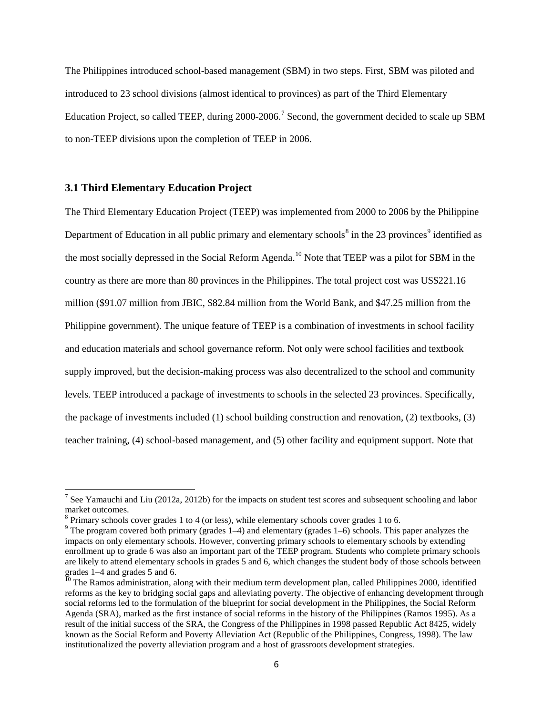The Philippines introduced school-based management (SBM) in two steps. First, SBM was piloted and introduced to 23 school divisions (almost identical to provinces) as part of the Third Elementary Education Project, so called TEEP, during 2000-2006.<sup>[7](#page-7-0)</sup> Second, the government decided to scale up SBM to non-TEEP divisions upon the completion of TEEP in 2006.

## **3.1 Third Elementary Education Project**

The Third Elementary Education Project (TEEP) was implemented from 2000 to 2006 by the Philippine Department of Education in all public primary and elementary schools $\delta$  in the 23 provinces<sup>[9](#page-7-2)</sup> identified as the most socially depressed in the Social Reform Agenda.<sup>[10](#page-7-3)</sup> Note that TEEP was a pilot for SBM in the country as there are more than 80 provinces in the Philippines. The total project cost was US\$221.16 million (\$91.07 million from JBIC, \$82.84 million from the World Bank, and \$47.25 million from the Philippine government). The unique feature of TEEP is a combination of investments in school facility and education materials and school governance reform. Not only were school facilities and textbook supply improved, but the decision-making process was also decentralized to the school and community levels. TEEP introduced a package of investments to schools in the selected 23 provinces. Specifically, the package of investments included (1) school building construction and renovation, (2) textbooks, (3) teacher training, (4) school-based management, and (5) other facility and equipment support. Note that

<span id="page-7-0"></span><sup>&</sup>lt;sup>7</sup> See Yamauchi and Liu (2012a, 2012b) for the impacts on student test scores and subsequent schooling and labor market outcomes.<br><sup>8</sup> Primary schools cover grades 1 to 4 (or less), while elementary schools cover grades 1 to 6.

<span id="page-7-1"></span>

<span id="page-7-2"></span><sup>&</sup>lt;sup>9</sup> The program covered both primary (grades 1–4) and elementary (grades 1–6) schools. This paper analyzes the impacts on only elementary schools. However, converting primary schools to elementary schools by extending enrollment up to grade 6 was also an important part of the TEEP program. Students who complete primary schools are likely to attend elementary schools in grades 5 and 6, which changes the student body of those schools between grades 1–4 and grades 5 and 6.

<span id="page-7-3"></span> $\frac{10}{10}$  The Ramos administration, along with their medium term development plan, called Philippines 2000, identified reforms as the key to bridging social gaps and alleviating poverty. The objective of enhancing development through social reforms led to the formulation of the blueprint for social development in the Philippines, the Social Reform Agenda (SRA), marked as the first instance of social reforms in the history of the Philippines (Ramos 1995). As a result of the initial success of the SRA, the Congress of the Philippines in 1998 passed Republic Act 8425, widely known as the Social Reform and Poverty Alleviation Act (Republic of the Philippines, Congress, 1998). The law institutionalized the poverty alleviation program and a host of grassroots development strategies.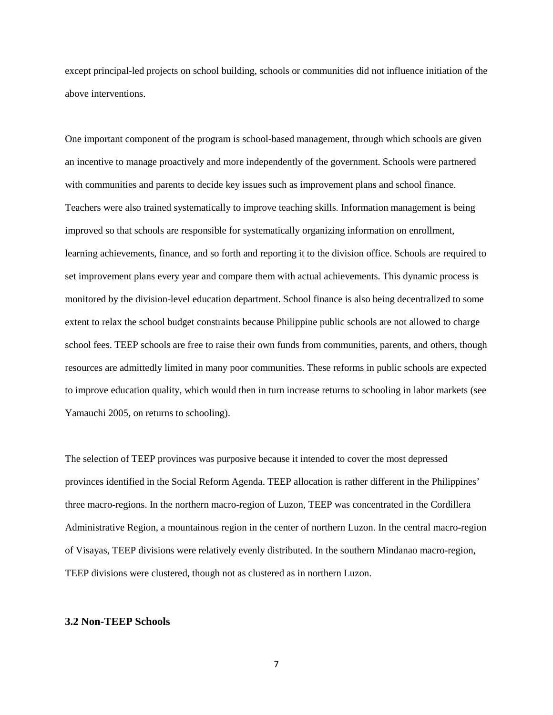except principal-led projects on school building, schools or communities did not influence initiation of the above interventions.

One important component of the program is school-based management, through which schools are given an incentive to manage proactively and more independently of the government. Schools were partnered with communities and parents to decide key issues such as improvement plans and school finance. Teachers were also trained systematically to improve teaching skills. Information management is being improved so that schools are responsible for systematically organizing information on enrollment, learning achievements, finance, and so forth and reporting it to the division office. Schools are required to set improvement plans every year and compare them with actual achievements. This dynamic process is monitored by the division-level education department. School finance is also being decentralized to some extent to relax the school budget constraints because Philippine public schools are not allowed to charge school fees. TEEP schools are free to raise their own funds from communities, parents, and others, though resources are admittedly limited in many poor communities. These reforms in public schools are expected to improve education quality, which would then in turn increase returns to schooling in labor markets (see Yamauchi 2005, on returns to schooling).

The selection of TEEP provinces was purposive because it intended to cover the most depressed provinces identified in the Social Reform Agenda. TEEP allocation is rather different in the Philippines' three macro-regions. In the northern macro-region of Luzon, TEEP was concentrated in the Cordillera Administrative Region, a mountainous region in the center of northern Luzon. In the central macro-region of Visayas, TEEP divisions were relatively evenly distributed. In the southern Mindanao macro-region, TEEP divisions were clustered, though not as clustered as in northern Luzon.

## **3.2 Non-TEEP Schools**

7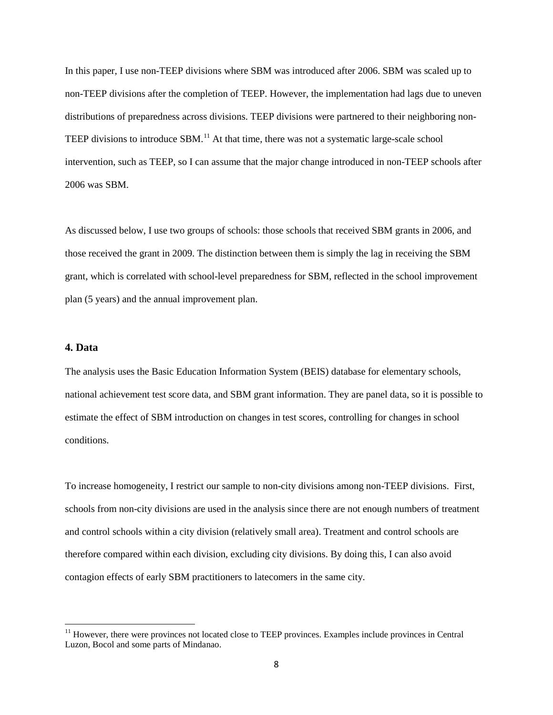In this paper, I use non-TEEP divisions where SBM was introduced after 2006. SBM was scaled up to non-TEEP divisions after the completion of TEEP. However, the implementation had lags due to uneven distributions of preparedness across divisions. TEEP divisions were partnered to their neighboring non-TEEP divisions to introduce SBM.<sup>[11](#page-9-0)</sup> At that time, there was not a systematic large-scale school intervention, such as TEEP, so I can assume that the major change introduced in non-TEEP schools after 2006 was SBM.

As discussed below, I use two groups of schools: those schools that received SBM grants in 2006, and those received the grant in 2009. The distinction between them is simply the lag in receiving the SBM grant, which is correlated with school-level preparedness for SBM, reflected in the school improvement plan (5 years) and the annual improvement plan.

## **4. Data**

The analysis uses the Basic Education Information System (BEIS) database for elementary schools, national achievement test score data, and SBM grant information. They are panel data, so it is possible to estimate the effect of SBM introduction on changes in test scores, controlling for changes in school conditions.

To increase homogeneity, I restrict our sample to non-city divisions among non-TEEP divisions. First, schools from non-city divisions are used in the analysis since there are not enough numbers of treatment and control schools within a city division (relatively small area). Treatment and control schools are therefore compared within each division, excluding city divisions. By doing this, I can also avoid contagion effects of early SBM practitioners to latecomers in the same city.

<span id="page-9-0"></span><sup>&</sup>lt;sup>11</sup> However, there were provinces not located close to TEEP provinces. Examples include provinces in Central Luzon, Bocol and some parts of Mindanao.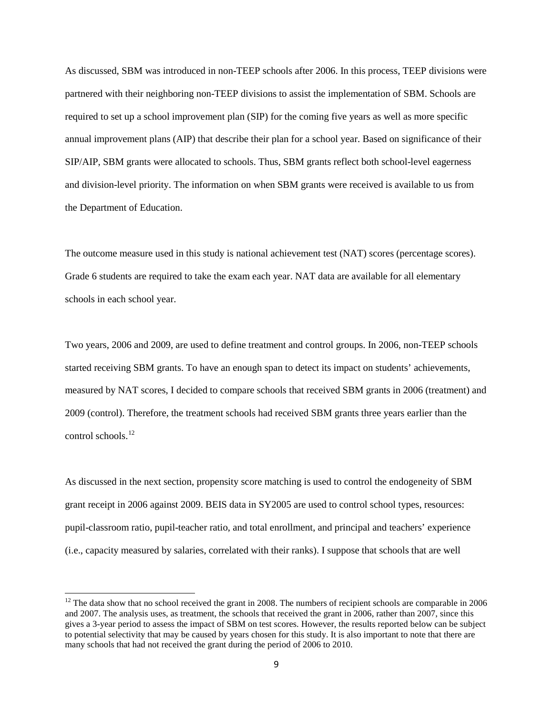As discussed, SBM was introduced in non-TEEP schools after 2006. In this process, TEEP divisions were partnered with their neighboring non-TEEP divisions to assist the implementation of SBM. Schools are required to set up a school improvement plan (SIP) for the coming five years as well as more specific annual improvement plans (AIP) that describe their plan for a school year. Based on significance of their SIP/AIP, SBM grants were allocated to schools. Thus, SBM grants reflect both school-level eagerness and division-level priority. The information on when SBM grants were received is available to us from the Department of Education.

The outcome measure used in this study is national achievement test (NAT) scores (percentage scores). Grade 6 students are required to take the exam each year. NAT data are available for all elementary schools in each school year.

Two years, 2006 and 2009, are used to define treatment and control groups. In 2006, non-TEEP schools started receiving SBM grants. To have an enough span to detect its impact on students' achievements, measured by NAT scores, I decided to compare schools that received SBM grants in 2006 (treatment) and 2009 (control). Therefore, the treatment schools had received SBM grants three years earlier than the control schools.<sup>[12](#page-10-0)</sup>

As discussed in the next section, propensity score matching is used to control the endogeneity of SBM grant receipt in 2006 against 2009. BEIS data in SY2005 are used to control school types, resources: pupil-classroom ratio, pupil-teacher ratio, and total enrollment, and principal and teachers' experience (i.e., capacity measured by salaries, correlated with their ranks). I suppose that schools that are well

<span id="page-10-0"></span> $12$  The data show that no school received the grant in 2008. The numbers of recipient schools are comparable in 2006 and 2007. The analysis uses, as treatment, the schools that received the grant in 2006, rather than 2007, since this gives a 3-year period to assess the impact of SBM on test scores. However, the results reported below can be subject to potential selectivity that may be caused by years chosen for this study. It is also important to note that there are many schools that had not received the grant during the period of 2006 to 2010.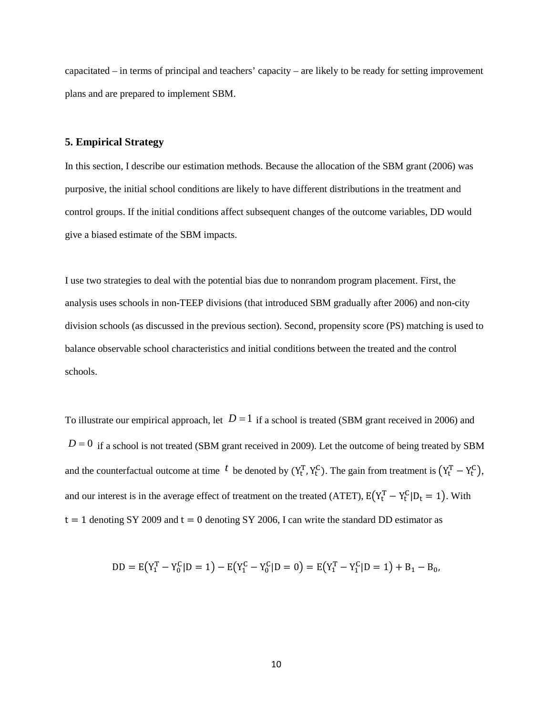capacitated – in terms of principal and teachers' capacity – are likely to be ready for setting improvement plans and are prepared to implement SBM.

#### **5. Empirical Strategy**

In this section, I describe our estimation methods. Because the allocation of the SBM grant (2006) was purposive, the initial school conditions are likely to have different distributions in the treatment and control groups. If the initial conditions affect subsequent changes of the outcome variables, DD would give a biased estimate of the SBM impacts.

I use two strategies to deal with the potential bias due to nonrandom program placement. First, the analysis uses schools in non-TEEP divisions (that introduced SBM gradually after 2006) and non-city division schools (as discussed in the previous section). Second, propensity score (PS) matching is used to balance observable school characteristics and initial conditions between the treated and the control schools.

To illustrate our empirical approach, let  $D = 1$  if a school is treated (SBM grant received in 2006) and  $D = 0$  if a school is not treated (SBM grant received in 2009). Let the outcome of being treated by SBM and the counterfactual outcome at time  $t$  be denoted by  $(Y_t^T, Y_t^C)$ . The gain from treatment is  $(Y_t^T - Y_t^C)$ , and our interest is in the average effect of treatment on the treated (ATET),  $E(Y_t^T - Y_t^C | D_t = 1)$ . With  $t = 1$  denoting SY 2009 and  $t = 0$  denoting SY 2006, I can write the standard DD estimator as

$$
DD = E(Y_1^T - Y_0^C | D = 1) - E(Y_1^C - Y_0^C | D = 0) = E(Y_1^T - Y_1^C | D = 1) + B_1 - B_0,
$$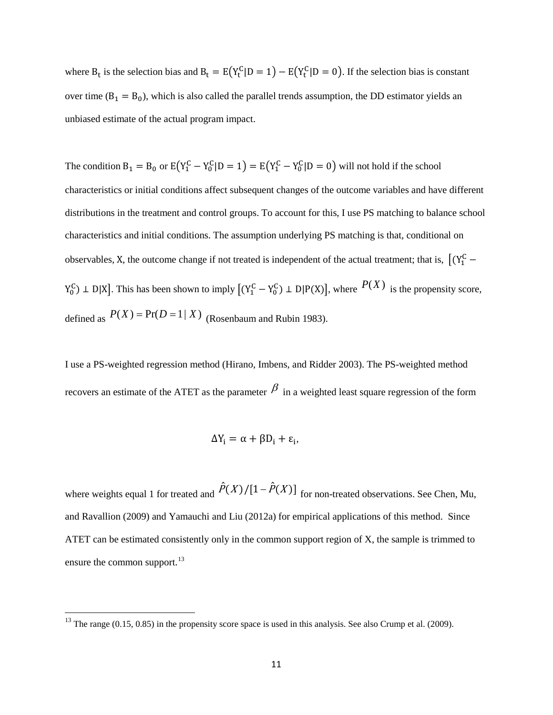where  $B_t$  is the selection bias and  $B_t = E(Y_t^C | D = 1) - E(Y_t^C | D = 0)$ . If the selection bias is constant over time  $(B_1 = B_0)$ , which is also called the parallel trends assumption, the DD estimator yields an unbiased estimate of the actual program impact.

The condition  $B_1 = B_0$  or  $E(Y_1^C - Y_0^C | D = 1) = E(Y_1^C - Y_0^C | D = 0)$  will not hold if the school characteristics or initial conditions affect subsequent changes of the outcome variables and have different distributions in the treatment and control groups. To account for this, I use PS matching to balance school characteristics and initial conditions. The assumption underlying PS matching is that, conditional on observables, X, the outcome change if not treated is independent of the actual treatment; that is,  $[(Y_1^C Y_0^C$   $\perp$  D|X]. This has been shown to imply  $[(Y_1^C - Y_0^C) \perp D]P(X)]$ , where  $P(X)$  is the propensity score, defined as  $P(X) = Pr(D = 1 | X)$  (Rosenbaum and Rubin 1983).

I use a PS-weighted regression method (Hirano, Imbens, and Ridder 2003). The PS-weighted method recovers an estimate of the ATET as the parameter  $\beta$  in a weighted least square regression of the form

$$
\Delta Y_{i} = \alpha + \beta D_{i} + \varepsilon_{i},
$$

where weights equal 1 for treated and  $\hat{P}(X)/[1-\hat{P}(X)]$  for non-treated observations. See Chen, Mu, and Ravallion (2009) and Yamauchi and Liu (2012a) for empirical applications of this method. Since ATET can be estimated consistently only in the common support region of X, the sample is trimmed to ensure the common support.<sup>[13](#page-12-0)</sup>

 $\overline{\phantom{a}}$ 

<span id="page-12-0"></span><sup>&</sup>lt;sup>13</sup> The range  $(0.15, 0.85)$  in the propensity score space is used in this analysis. See also Crump et al. (2009).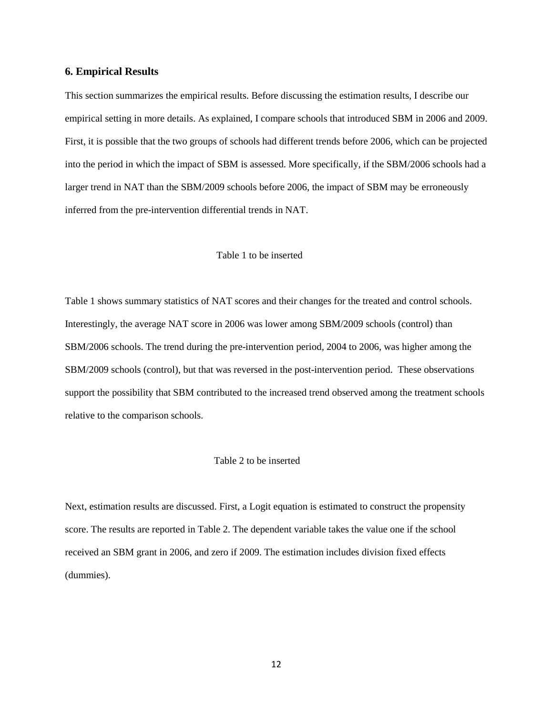#### **6. Empirical Results**

This section summarizes the empirical results. Before discussing the estimation results, I describe our empirical setting in more details. As explained, I compare schools that introduced SBM in 2006 and 2009. First, it is possible that the two groups of schools had different trends before 2006, which can be projected into the period in which the impact of SBM is assessed. More specifically, if the SBM/2006 schools had a larger trend in NAT than the SBM/2009 schools before 2006, the impact of SBM may be erroneously inferred from the pre-intervention differential trends in NAT.

#### Table 1 to be inserted

Table 1 shows summary statistics of NAT scores and their changes for the treated and control schools. Interestingly, the average NAT score in 2006 was lower among SBM/2009 schools (control) than SBM/2006 schools. The trend during the pre-intervention period, 2004 to 2006, was higher among the SBM/2009 schools (control), but that was reversed in the post-intervention period. These observations support the possibility that SBM contributed to the increased trend observed among the treatment schools relative to the comparison schools.

## Table 2 to be inserted

Next, estimation results are discussed. First, a Logit equation is estimated to construct the propensity score. The results are reported in Table 2. The dependent variable takes the value one if the school received an SBM grant in 2006, and zero if 2009. The estimation includes division fixed effects (dummies).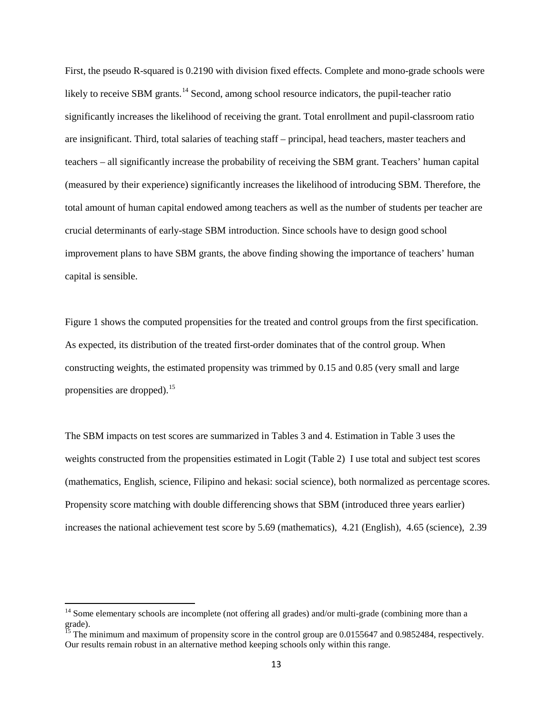First, the pseudo R-squared is 0.2190 with division fixed effects. Complete and mono-grade schools were likely to receive SBM grants.<sup>[14](#page-14-0)</sup> Second, among school resource indicators, the pupil-teacher ratio significantly increases the likelihood of receiving the grant. Total enrollment and pupil-classroom ratio are insignificant. Third, total salaries of teaching staff – principal, head teachers, master teachers and teachers – all significantly increase the probability of receiving the SBM grant. Teachers' human capital (measured by their experience) significantly increases the likelihood of introducing SBM. Therefore, the total amount of human capital endowed among teachers as well as the number of students per teacher are crucial determinants of early-stage SBM introduction. Since schools have to design good school improvement plans to have SBM grants, the above finding showing the importance of teachers' human capital is sensible.

Figure 1 shows the computed propensities for the treated and control groups from the first specification. As expected, its distribution of the treated first-order dominates that of the control group. When constructing weights, the estimated propensity was trimmed by 0.15 and 0.85 (very small and large propensities are dropped). $15$ 

The SBM impacts on test scores are summarized in Tables 3 and 4. Estimation in Table 3 uses the weights constructed from the propensities estimated in Logit (Table 2) I use total and subject test scores (mathematics, English, science, Filipino and hekasi: social science), both normalized as percentage scores. Propensity score matching with double differencing shows that SBM (introduced three years earlier) increases the national achievement test score by 5.69 (mathematics), 4.21 (English), 4.65 (science), 2.39

<span id="page-14-0"></span><sup>&</sup>lt;sup>14</sup> Some elementary schools are incomplete (not offering all grades) and/or multi-grade (combining more than a grade).

<span id="page-14-1"></span><sup>&</sup>lt;sup>15</sup> The minimum and maximum of propensity score in the control group are 0.0155647 and 0.9852484, respectively. Our results remain robust in an alternative method keeping schools only within this range.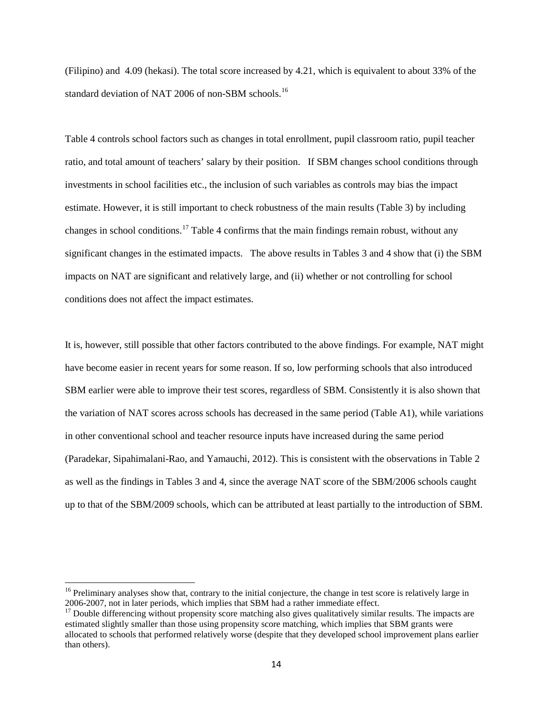(Filipino) and 4.09 (hekasi). The total score increased by 4.21, which is equivalent to about 33% of the standard deviation of NAT 2006 of non-SBM schools.<sup>[16](#page-15-0)</sup>

Table 4 controls school factors such as changes in total enrollment, pupil classroom ratio, pupil teacher ratio, and total amount of teachers' salary by their position. If SBM changes school conditions through investments in school facilities etc., the inclusion of such variables as controls may bias the impact estimate. However, it is still important to check robustness of the main results (Table 3) by including changes in school conditions.<sup>[17](#page-15-1)</sup> Table 4 confirms that the main findings remain robust, without any significant changes in the estimated impacts. The above results in Tables 3 and 4 show that (i) the SBM impacts on NAT are significant and relatively large, and (ii) whether or not controlling for school conditions does not affect the impact estimates.

It is, however, still possible that other factors contributed to the above findings. For example, NAT might have become easier in recent years for some reason. If so, low performing schools that also introduced SBM earlier were able to improve their test scores, regardless of SBM. Consistently it is also shown that the variation of NAT scores across schools has decreased in the same period (Table A1), while variations in other conventional school and teacher resource inputs have increased during the same period (Paradekar, Sipahimalani-Rao, and Yamauchi, 2012). This is consistent with the observations in Table 2 as well as the findings in Tables 3 and 4, since the average NAT score of the SBM/2006 schools caught up to that of the SBM/2009 schools, which can be attributed at least partially to the introduction of SBM.

<span id="page-15-0"></span> $16$  Preliminary analyses show that, contrary to the initial conjecture, the change in test score is relatively large in  $2006-2007$ , not in later periods, which implies that SBM had a rather immediate effect.

<span id="page-15-1"></span> $17$  Double differencing without propensity score matching also gives qualitatively similar results. The impacts are estimated slightly smaller than those using propensity score matching, which implies that SBM grants were allocated to schools that performed relatively worse (despite that they developed school improvement plans earlier than others).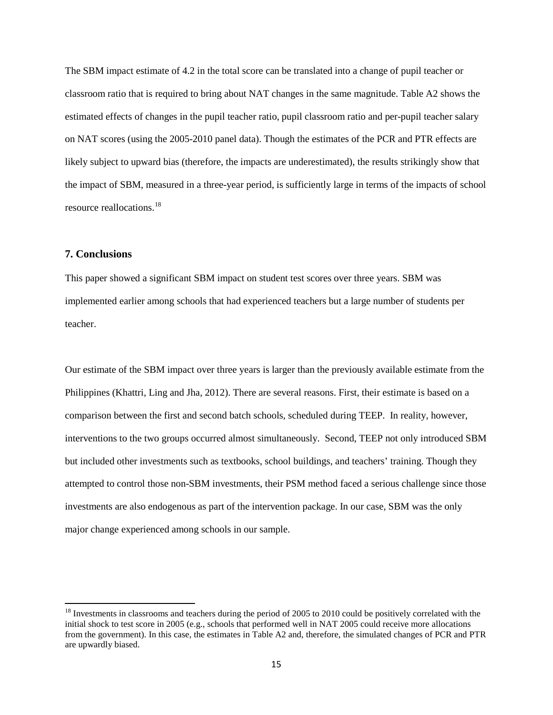The SBM impact estimate of 4.2 in the total score can be translated into a change of pupil teacher or classroom ratio that is required to bring about NAT changes in the same magnitude. Table A2 shows the estimated effects of changes in the pupil teacher ratio, pupil classroom ratio and per-pupil teacher salary on NAT scores (using the 2005-2010 panel data). Though the estimates of the PCR and PTR effects are likely subject to upward bias (therefore, the impacts are underestimated), the results strikingly show that the impact of SBM, measured in a three-year period, is sufficiently large in terms of the impacts of school resource reallocations. [18](#page-16-0)

## **7. Conclusions**

This paper showed a significant SBM impact on student test scores over three years. SBM was implemented earlier among schools that had experienced teachers but a large number of students per teacher.

Our estimate of the SBM impact over three years is larger than the previously available estimate from the Philippines (Khattri, Ling and Jha, 2012). There are several reasons. First, their estimate is based on a comparison between the first and second batch schools, scheduled during TEEP. In reality, however, interventions to the two groups occurred almost simultaneously. Second, TEEP not only introduced SBM but included other investments such as textbooks, school buildings, and teachers' training. Though they attempted to control those non-SBM investments, their PSM method faced a serious challenge since those investments are also endogenous as part of the intervention package. In our case, SBM was the only major change experienced among schools in our sample.

<span id="page-16-0"></span> $18$  Investments in classrooms and teachers during the period of 2005 to 2010 could be positively correlated with the initial shock to test score in 2005 (e.g., schools that performed well in NAT 2005 could receive more allocations from the government). In this case, the estimates in Table A2 and, therefore, the simulated changes of PCR and PTR are upwardly biased.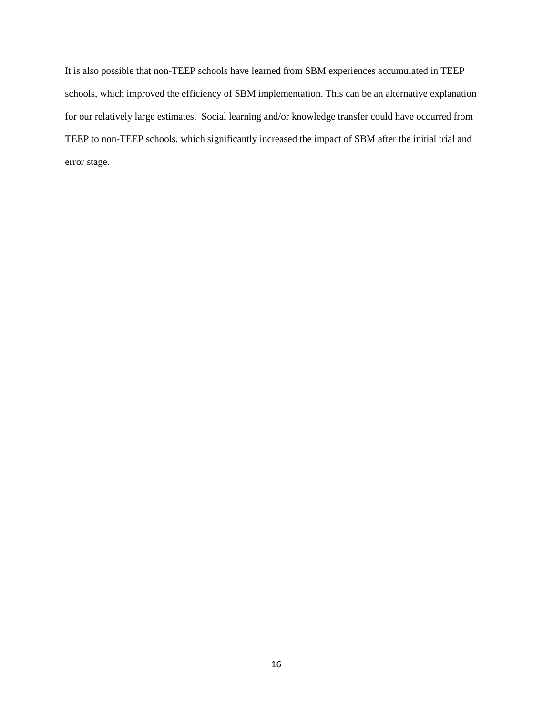It is also possible that non-TEEP schools have learned from SBM experiences accumulated in TEEP schools, which improved the efficiency of SBM implementation. This can be an alternative explanation for our relatively large estimates. Social learning and/or knowledge transfer could have occurred from TEEP to non-TEEP schools, which significantly increased the impact of SBM after the initial trial and error stage.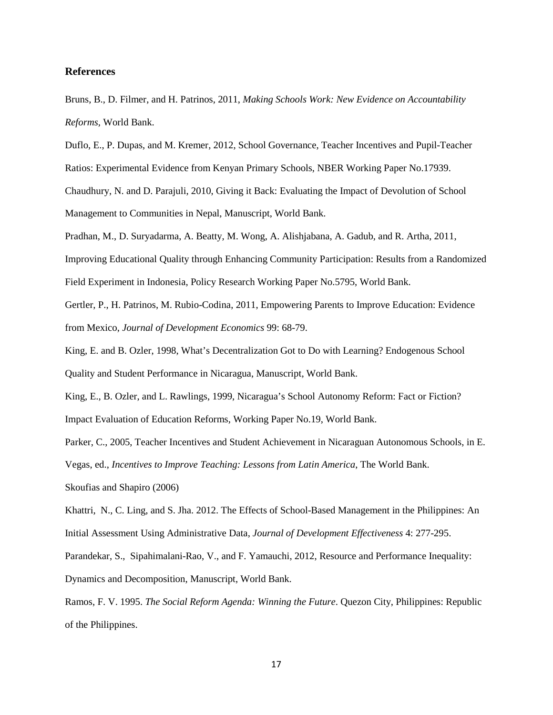## **References**

Bruns, B., D. Filmer, and H. Patrinos, 2011, *Making Schools Work: New Evidence on Accountability Reforms*, World Bank.

Duflo, E., P. Dupas, and M. Kremer, 2012, School Governance, Teacher Incentives and Pupil-Teacher Ratios: Experimental Evidence from Kenyan Primary Schools, NBER Working Paper No.17939. Chaudhury, N. and D. Parajuli, 2010, Giving it Back: Evaluating the Impact of Devolution of School Management to Communities in Nepal, Manuscript, World Bank.

Pradhan, M., D. Suryadarma, A. Beatty, M. Wong, A. Alishjabana, A. Gadub, and R. Artha, 2011,

Improving Educational Quality through Enhancing Community Participation: Results from a Randomized Field Experiment in Indonesia, Policy Research Working Paper No.5795, World Bank.

Gertler, P., H. Patrinos, M. Rubio-Codina, 2011, Empowering Parents to Improve Education: Evidence from Mexico, *Journal of Development Economics* 99: 68-79.

King, E. and B. Ozler, 1998, What's Decentralization Got to Do with Learning? Endogenous School Quality and Student Performance in Nicaragua, Manuscript, World Bank.

King, E., B. Ozler, and L. Rawlings, 1999, Nicaragua's School Autonomy Reform: Fact or Fiction? Impact Evaluation of Education Reforms, Working Paper No.19, World Bank.

Parker, C., 2005, Teacher Incentives and Student Achievement in Nicaraguan Autonomous Schools, in E. Vegas, ed., *Incentives to Improve Teaching: Lessons from Latin America*, The World Bank.

Skoufias and Shapiro (2006)

[Khattri,](http://papers.ssrn.com/sol3/cf_dev/AbsByAuth.cfm?per_id=1456277) N., [C. Ling, and S. Jha.](http://papers.ssrn.com/sol3/cf_dev/AbsByAuth.cfm?per_id=1456278) 2012. The Effects of School-Based Management in the Philippines: An Initial Assessment Using Administrative Data, *Journal of Development Effectiveness* 4: 277-295.

Parandekar, S., Sipahimalani-Rao, V., and F. Yamauchi, 2012, Resource and Performance Inequality: Dynamics and Decomposition, Manuscript, World Bank.

Ramos, F. V. 1995. *The Social Reform Agenda: Winning the Future*. Quezon City, Philippines: Republic of the Philippines.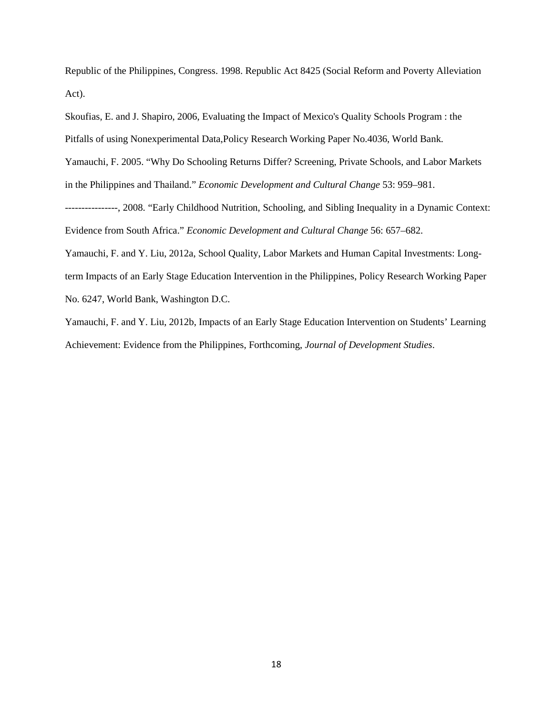Republic of the Philippines, Congress. 1998. Republic Act 8425 (Social Reform and Poverty Alleviation Act).

Skoufias, E. and J. Shapiro, 2006, Evaluating the Impact of Mexico's Quality Schools Program : the Pitfalls of using Nonexperimental Data,Policy Research Working Paper No.4036, World Bank. Yamauchi, F. 2005. ["Why Do Schooling Returns Differ? Screening, Private Schools, and Labor Markets](http://ideas.repec.org/a/ucp/ecdecc/y2005v53i4p959-81.html)  [in the Philippines and Thailand.](http://ideas.repec.org/a/ucp/ecdecc/y2005v53i4p959-81.html)" *[Economic Development and Cultural Change](http://ideas.repec.org/s/ucp/ecdecc.html)* 53: 959–981. ----------------, 2008. ["Early Childhood Nutrition, Schooling, and Sibling Inequality in a Dynamic Context:](http://ideas.repec.org/a/ucp/ecdecc/v56y2008p657-682.html)  [Evidence from South Africa.](http://ideas.repec.org/a/ucp/ecdecc/v56y2008p657-682.html)" *[Economic Development and Cultural Change](http://ideas.repec.org/s/ucp/ecdecc.html)* 56: 657–682. Yamauchi, F. and Y. Liu, 2012a, School Quality, Labor Markets and Human Capital Investments: Longterm Impacts of an Early Stage Education Intervention in the Philippines, Policy Research Working Paper No. 6247, World Bank, Washington D.C.

Yamauchi, F. and Y. Liu, 2012b, Impacts of an Early Stage Education Intervention on Students' Learning Achievement: Evidence from the Philippines, Forthcoming, *Journal of Development Studies*.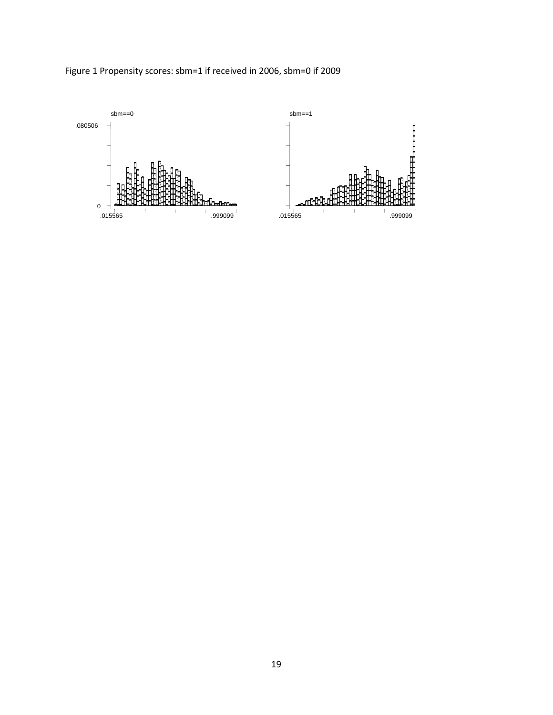

# Figure 1 Propensity scores: sbm=1 if received in 2006, sbm=0 if 2009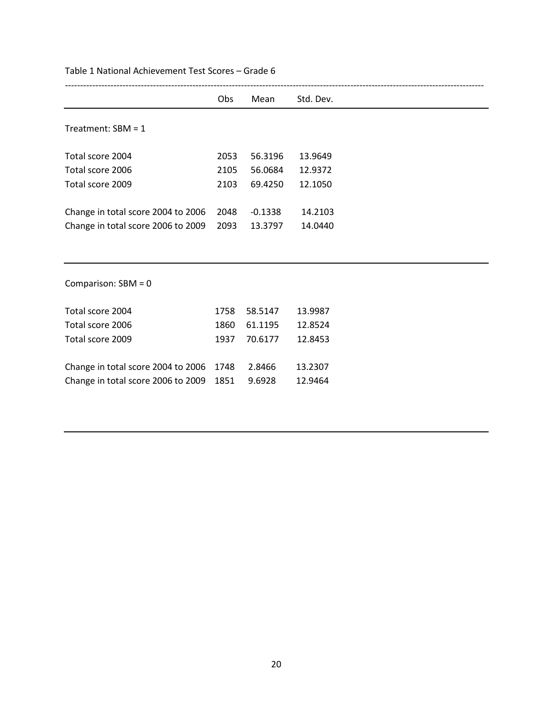| Table 1 National Achievement Test Scores - Grade 6 |  |
|----------------------------------------------------|--|
|----------------------------------------------------|--|

|                                    | Obs  | Mean      | Std. Dev. |  |
|------------------------------------|------|-----------|-----------|--|
| Treatment: $SBM = 1$               |      |           |           |  |
|                                    |      |           |           |  |
| Total score 2004                   | 2053 | 56.3196   | 13.9649   |  |
| Total score 2006                   | 2105 | 56.0684   | 12.9372   |  |
| Total score 2009                   | 2103 | 69.4250   | 12.1050   |  |
|                                    |      |           |           |  |
| Change in total score 2004 to 2006 | 2048 | $-0.1338$ | 14.2103   |  |
| Change in total score 2006 to 2009 | 2093 | 13.3797   | 14.0440   |  |
|                                    |      |           |           |  |
|                                    |      |           |           |  |
| Comparison: $SBM = 0$              |      |           |           |  |
|                                    |      |           |           |  |
| Total score 2004                   | 1758 | 58.5147   | 13.9987   |  |
| Total score 2006                   | 1860 | 61.1195   | 12.8524   |  |
| Total score 2009                   | 1937 | 70.6177   | 12.8453   |  |
|                                    |      |           |           |  |
| Change in total score 2004 to 2006 | 1748 | 2.8466    | 13.2307   |  |
| Change in total score 2006 to 2009 | 1851 | 9.6928    | 12.9464   |  |
|                                    |      |           |           |  |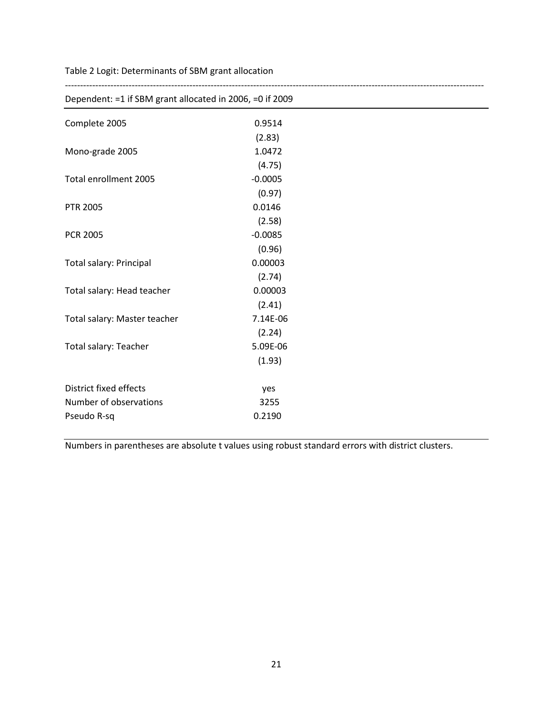Table 2 Logit: Determinants of SBM grant allocation

| Dependent: =1 if SBM grant allocated in 2006, =0 if 2009 |           |  |  |  |
|----------------------------------------------------------|-----------|--|--|--|
| Complete 2005                                            | 0.9514    |  |  |  |
|                                                          | (2.83)    |  |  |  |
| Mono-grade 2005                                          | 1.0472    |  |  |  |
|                                                          | (4.75)    |  |  |  |
| Total enrollment 2005                                    | $-0.0005$ |  |  |  |
|                                                          | (0.97)    |  |  |  |
| <b>PTR 2005</b>                                          | 0.0146    |  |  |  |
|                                                          | (2.58)    |  |  |  |
| <b>PCR 2005</b>                                          | $-0.0085$ |  |  |  |
|                                                          | (0.96)    |  |  |  |
| Total salary: Principal                                  | 0.00003   |  |  |  |
|                                                          | (2.74)    |  |  |  |
| Total salary: Head teacher                               | 0.00003   |  |  |  |
|                                                          | (2.41)    |  |  |  |
| Total salary: Master teacher                             | 7.14E-06  |  |  |  |
|                                                          | (2.24)    |  |  |  |
| Total salary: Teacher                                    | 5.09E-06  |  |  |  |
|                                                          | (1.93)    |  |  |  |
| <b>District fixed effects</b>                            | yes       |  |  |  |
| Number of observations                                   | 3255      |  |  |  |
| Pseudo R-sq                                              | 0.2190    |  |  |  |

------------------------------------------------------------------------------------------------------------------------------------------

Numbers in parentheses are absolute t values using robust standard errors with district clusters.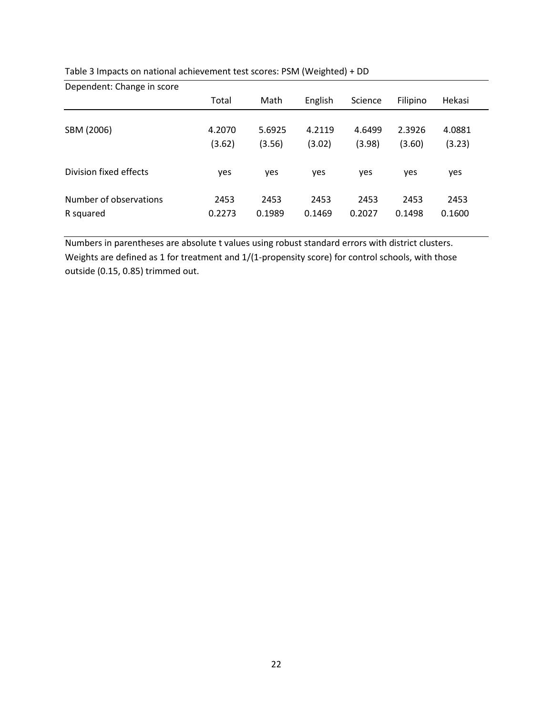| Dependent: Change in score |        |        |         |         |          |        |  |
|----------------------------|--------|--------|---------|---------|----------|--------|--|
|                            | Total  | Math   | English | Science | Filipino | Hekasi |  |
|                            |        |        |         |         |          |        |  |
| SBM (2006)                 | 4.2070 | 5.6925 | 4.2119  | 4.6499  | 2.3926   | 4.0881 |  |
|                            | (3.62) | (3.56) | (3.02)  | (3.98)  | (3.60)   | (3.23) |  |
| Division fixed effects     | yes    | yes    | yes     | yes     | yes      | yes    |  |
| Number of observations     | 2453   | 2453   | 2453    | 2453    | 2453     | 2453   |  |
| R squared                  | 0.2273 | 0.1989 | 0.1469  | 0.2027  | 0.1498   | 0.1600 |  |
|                            |        |        |         |         |          |        |  |

Table 3 Impacts on national achievement test scores: PSM (Weighted) + DD

Numbers in parentheses are absolute t values using robust standard errors with district clusters. Weights are defined as 1 for treatment and 1/(1-propensity score) for control schools, with those outside (0.15, 0.85) trimmed out.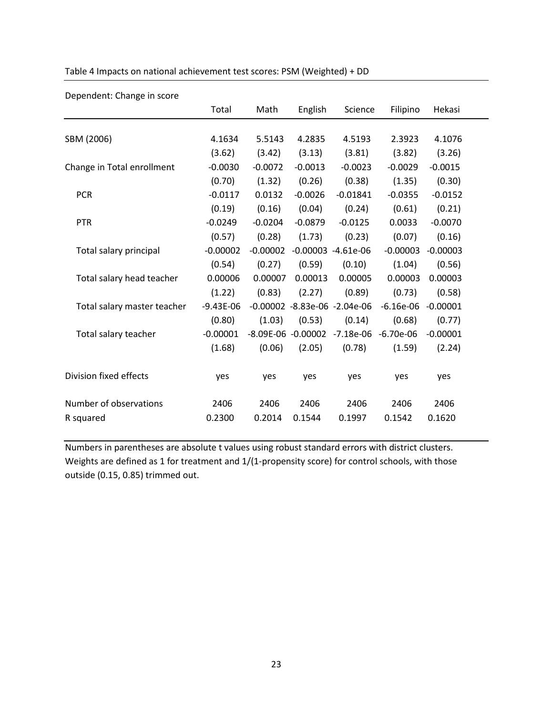| Dependent: Change in score  |               |            |           |                                        |             |            |  |
|-----------------------------|---------------|------------|-----------|----------------------------------------|-------------|------------|--|
|                             | Total         | Math       | English   | Science                                | Filipino    | Hekasi     |  |
|                             |               |            |           |                                        |             |            |  |
| SBM (2006)                  | 4.1634        | 5.5143     | 4.2835    | 4.5193                                 | 2.3923      | 4.1076     |  |
|                             | (3.62)        | (3.42)     | (3.13)    | (3.81)                                 | (3.82)      | (3.26)     |  |
| Change in Total enrollment  | $-0.0030$     | $-0.0072$  | $-0.0013$ | $-0.0023$                              | $-0.0029$   | $-0.0015$  |  |
|                             | (0.70)        | (1.32)     | (0.26)    | (0.38)                                 | (1.35)      | (0.30)     |  |
| <b>PCR</b>                  | $-0.0117$     | 0.0132     | $-0.0026$ | $-0.01841$                             | $-0.0355$   | $-0.0152$  |  |
|                             | (0.19)        | (0.16)     | (0.04)    | (0.24)                                 | (0.61)      | (0.21)     |  |
| PTR                         | $-0.0249$     | $-0.0204$  | $-0.0879$ | $-0.0125$                              | 0.0033      | $-0.0070$  |  |
|                             | (0.57)        | (0.28)     | (1.73)    | (0.23)                                 | (0.07)      | (0.16)     |  |
| Total salary principal      | $-0.00002$    | $-0.00002$ |           | $-0.00003 -4.61e-06$                   | $-0.00003$  | $-0.00003$ |  |
|                             | (0.54)        | (0.27)     | (0.59)    | (0.10)                                 | (1.04)      | (0.56)     |  |
| Total salary head teacher   | 0.00006       | 0.00007    | 0.00013   | 0.00005                                | 0.00003     | 0.00003    |  |
|                             | (1.22)        | (0.83)     | (2.27)    | (0.89)                                 | (0.73)      | (0.58)     |  |
| Total salary master teacher | $-9.43E - 06$ |            |           | $-0.00002 -8.83e-06 -2.04e-06$         | $-6.16e-06$ | $-0.00001$ |  |
|                             | (0.80)        | (1.03)     | (0.53)    | (0.14)                                 | (0.68)      | (0.77)     |  |
| Total salary teacher        | $-0.00001$    |            |           | -8.09E-06 -0.00002 -7.18e-06 -6.70e-06 |             | $-0.00001$ |  |
|                             | (1.68)        | (0.06)     | (2.05)    | (0.78)                                 | (1.59)      | (2.24)     |  |
| Division fixed effects      | yes           | yes        | yes       | yes                                    | yes         | yes        |  |
| Number of observations      | 2406          | 2406       | 2406      | 2406                                   | 2406        | 2406       |  |
| R squared                   | 0.2300        | 0.2014     | 0.1544    | 0.1997                                 | 0.1542      | 0.1620     |  |

Table 4 Impacts on national achievement test scores: PSM (Weighted) + DD

Numbers in parentheses are absolute t values using robust standard errors with district clusters. Weights are defined as 1 for treatment and 1/(1-propensity score) for control schools, with those outside (0.15, 0.85) trimmed out.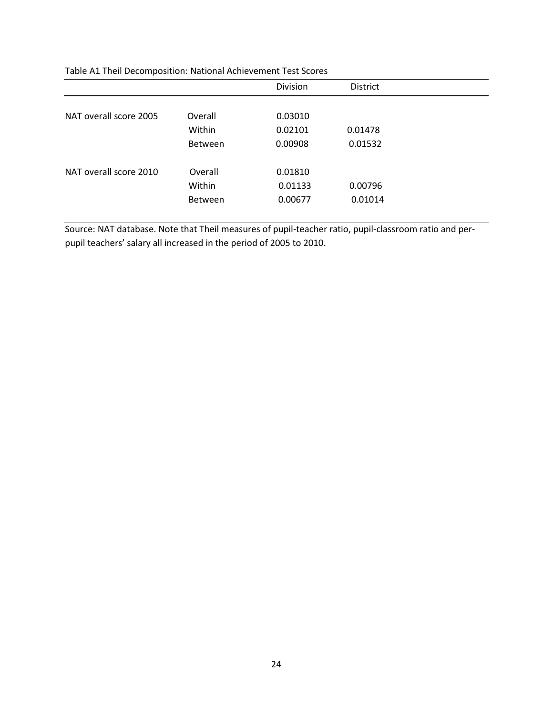|                | Division | <b>District</b> |  |
|----------------|----------|-----------------|--|
|                |          |                 |  |
| Overall        | 0.03010  |                 |  |
| Within         | 0.02101  | 0.01478         |  |
| <b>Between</b> | 0.00908  | 0.01532         |  |
|                |          |                 |  |
| Within         | 0.01133  | 0.00796         |  |
| <b>Between</b> | 0.00677  | 0.01014         |  |
|                | Overall  | 0.01810         |  |

Table A1 Theil Decomposition: National Achievement Test Scores

Source: NAT database. Note that Theil measures of pupil-teacher ratio, pupil-classroom ratio and perpupil teachers' salary all increased in the period of 2005 to 2010.